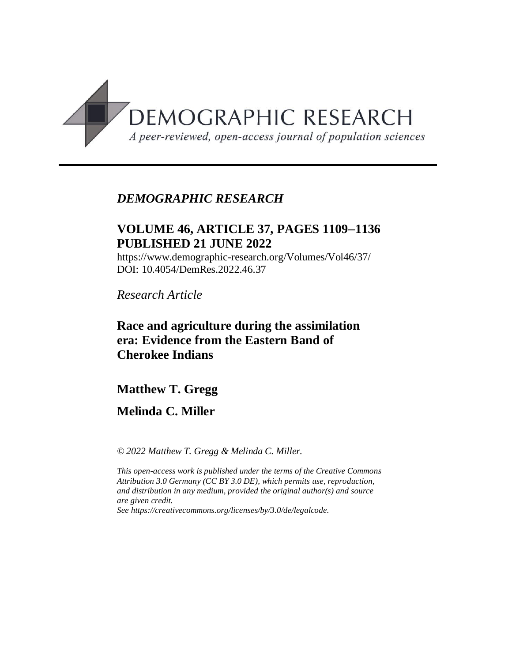

# *DEMOGRAPHIC RESEARCH*

# **VOLUME 46, ARTICLE 37, PAGES 11091136 PUBLISHED 21 JUNE 2022**

https://www.demographic-research.org/Volumes/Vol46/37/ DOI: 10.4054/DemRes.2022.46.37

*Research Article*

# **Race and agriculture during the assimilation era: Evidence from the Eastern Band of Cherokee Indians**

# **Matthew T. Gregg**

# **Melinda C. Miller**

*© 2022 Matthew T. Gregg & Melinda C. Miller.*

*This open-access work is published under the terms of the Creative Commons Attribution 3.0 Germany (CC BY 3.0 DE), which permits use, reproduction, and distribution in any medium, provided the original author(s) and source are given credit.*

*See [https://creativecommons.org/licenses/by/3.0/de/legalcode.](https://creativecommons.org/licenses/by/3.0/de/legalcode)*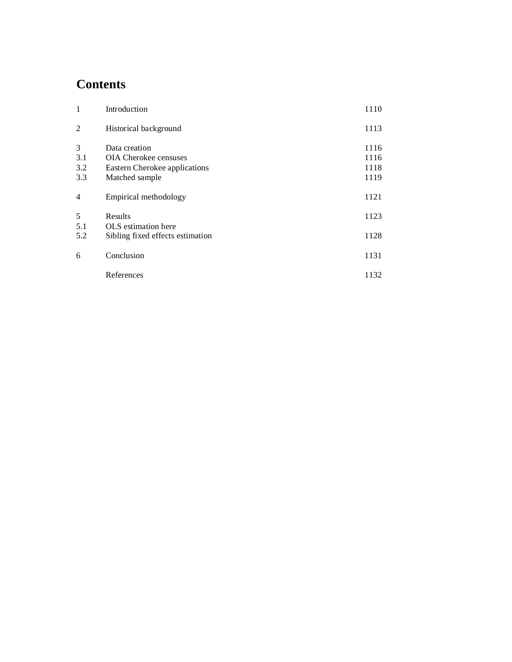# **Contents**

| $\mathbf{1}$           | Introduction                                                                                     | 1110                         |
|------------------------|--------------------------------------------------------------------------------------------------|------------------------------|
| $\overline{c}$         | Historical background                                                                            | 1113                         |
| 3<br>3.1<br>3.2<br>3.3 | Data creation<br><b>OIA</b> Cherokee censuses<br>Eastern Cherokee applications<br>Matched sample | 1116<br>1116<br>1118<br>1119 |
| $\overline{4}$         | Empirical methodology                                                                            | 1121                         |
| 5<br>5.1<br>5.2        | Results<br>OLS estimation here<br>Sibling fixed effects estimation                               | 1123<br>1128                 |
| 6                      | Conclusion                                                                                       | 1131                         |
|                        | References                                                                                       | 1132                         |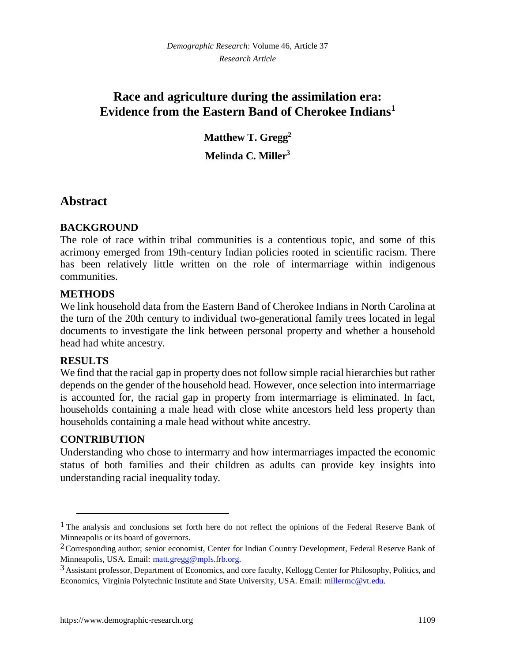# **Race and agriculture during the assimilation era: Evidence from the Eastern Band of Cherokee Indians[1](#page-2-0)**

**Matthew T. Gregg[2](#page-2-1) Melinda C. Miller[3](#page-2-2)**

# **Abstract**

## **BACKGROUND**

The role of race within tribal communities is a contentious topic, and some of this acrimony emerged from 19th-century Indian policies rooted in scientific racism. There has been relatively little written on the role of intermarriage within indigenous communities.

### **METHODS**

We link household data from the Eastern Band of Cherokee Indians in North Carolina at the turn of the 20th century to individual two-generational family trees located in legal documents to investigate the link between personal property and whether a household head had white ancestry.

### **RESULTS**

We find that the racial gap in property does not follow simple racial hierarchies but rather depends on the gender of the household head. However, once selection into intermarriage is accounted for, the racial gap in property from intermarriage is eliminated. In fact, households containing a male head with close white ancestors held less property than households containing a male head without white ancestry.

### **CONTRIBUTION**

Understanding who chose to intermarry and how intermarriages impacted the economic status of both families and their children as adults can provide key insights into understanding racial inequality today.

<span id="page-2-0"></span><sup>&</sup>lt;sup>1</sup> The analysis and conclusions set forth here do not reflect the opinions of the Federal Reserve Bank of Minneapolis or its board of governors.

<span id="page-2-1"></span><sup>&</sup>lt;sup>2</sup> Corresponding author; senior economist, Center for Indian Country Development, Federal Reserve Bank of Minneapolis, USA. Email: [matt.gregg@mpls.frb.org.](mailto:matt.gregg@mpls.frb.org)

<span id="page-2-2"></span><sup>&</sup>lt;sup>3</sup> Assistant professor, Department of Economics, and core faculty, Kellogg Center for Philosophy, Politics, and Economics, Virginia Polytechnic Institute and State University, USA. Email: [millermc@vt.edu.](mailto:millermc@vt.edu)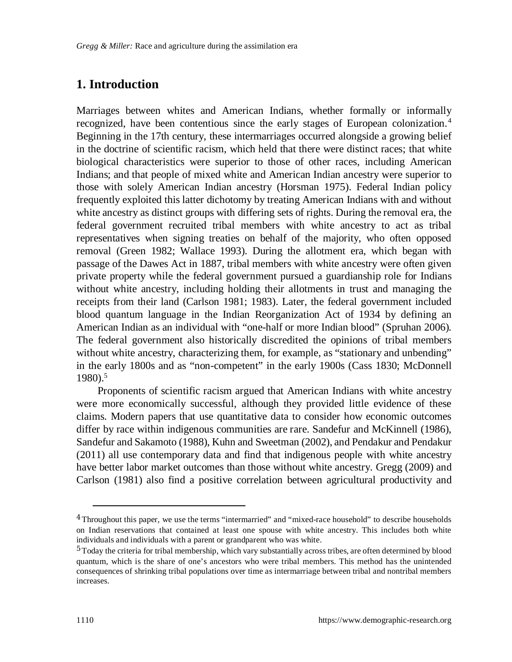# **1. Introduction**

Marriages between whites and American Indians, whether formally or informally recognized, have been contentious since the early stages of European colonization.[4](#page-3-0) Beginning in the 17th century, these intermarriages occurred alongside a growing belief in the doctrine of scientific racism, which held that there were distinct races; that white biological characteristics were superior to those of other races, including American Indians; and that people of mixed white and American Indian ancestry were superior to those with solely American Indian ancestry (Horsman 1975). Federal Indian policy frequently exploited this latter dichotomy by treating American Indians with and without white ancestry as distinct groups with differing sets of rights. During the removal era, the federal government recruited tribal members with white ancestry to act as tribal representatives when signing treaties on behalf of the majority, who often opposed removal (Green 1982; Wallace 1993). During the allotment era, which began with passage of the Dawes Act in 1887, tribal members with white ancestry were often given private property while the federal government pursued a guardianship role for Indians without white ancestry, including holding their allotments in trust and managing the receipts from their land (Carlson 1981; 1983). Later, the federal government included blood quantum language in the Indian Reorganization Act of 1934 by defining an American Indian as an individual with "one-half or more Indian blood" (Spruhan 2006). The federal government also historically discredited the opinions of tribal members without white ancestry, characterizing them, for example, as "stationary and unbending" in the early 1800s and as "non-competent" in the early 1900s (Cass 1830; McDonnell 1980).[5](#page-3-1)

Proponents of scientific racism argued that American Indians with white ancestry were more economically successful, although they provided little evidence of these claims. Modern papers that use quantitative data to consider how economic outcomes differ by race within indigenous communities are rare. Sandefur and McKinnell (1986), Sandefur and Sakamoto (1988), Kuhn and Sweetman (2002), and Pendakur and Pendakur (2011) all use contemporary data and find that indigenous people with white ancestry have better labor market outcomes than those without white ancestry. Gregg (2009) and Carlson (1981) also find a positive correlation between agricultural productivity and

<span id="page-3-0"></span><sup>&</sup>lt;sup>4</sup> Throughout this paper, we use the terms "intermarried" and "mixed-race household" to describe households on Indian reservations that contained at least one spouse with white ancestry. This includes both white individuals and individuals with a parent or grandparent who was white.

<span id="page-3-1"></span><sup>&</sup>lt;sup>5</sup> Today the criteria for tribal membership, which vary substantially across tribes, are often determined by blood quantum, which is the share of one's ancestors who were tribal members. This method has the unintended consequences of shrinking tribal populations over time as intermarriage between tribal and nontribal members increases.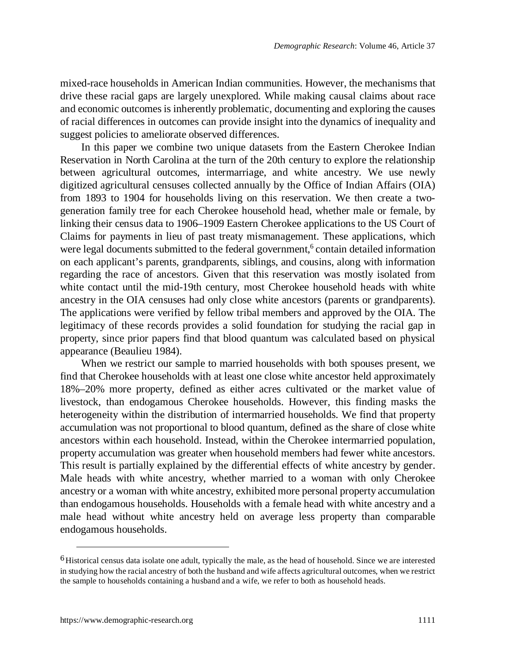mixed-race households in American Indian communities. However, the mechanisms that drive these racial gaps are largely unexplored. While making causal claims about race and economic outcomes is inherently problematic, documenting and exploring the causes of racial differences in outcomes can provide insight into the dynamics of inequality and suggest policies to ameliorate observed differences.

In this paper we combine two unique datasets from the Eastern Cherokee Indian Reservation in North Carolina at the turn of the 20th century to explore the relationship between agricultural outcomes, intermarriage, and white ancestry. We use newly digitized agricultural censuses collected annually by the Office of Indian Affairs (OIA) from 1893 to 1904 for households living on this reservation. We then create a twogeneration family tree for each Cherokee household head, whether male or female, by linking their census data to 1906–1909 Eastern Cherokee applications to the US Court of Claims for payments in lieu of past treaty mismanagement. These applications, which were legal documents submitted to the federal government,<sup>[6](#page-4-0)</sup> contain detailed information on each applicant's parents, grandparents, siblings, and cousins, along with information regarding the race of ancestors. Given that this reservation was mostly isolated from white contact until the mid-19th century, most Cherokee household heads with white ancestry in the OIA censuses had only close white ancestors (parents or grandparents). The applications were verified by fellow tribal members and approved by the OIA. The legitimacy of these records provides a solid foundation for studying the racial gap in property, since prior papers find that blood quantum was calculated based on physical appearance (Beaulieu 1984).

When we restrict our sample to married households with both spouses present, we find that Cherokee households with at least one close white ancestor held approximately 18%–20% more property, defined as either acres cultivated or the market value of livestock, than endogamous Cherokee households. However, this finding masks the heterogeneity within the distribution of intermarried households. We find that property accumulation was not proportional to blood quantum, defined as the share of close white ancestors within each household. Instead, within the Cherokee intermarried population, property accumulation was greater when household members had fewer white ancestors. This result is partially explained by the differential effects of white ancestry by gender. Male heads with white ancestry, whether married to a woman with only Cherokee ancestry or a woman with white ancestry, exhibited more personal property accumulation than endogamous households. Households with a female head with white ancestry and a male head without white ancestry held on average less property than comparable endogamous households.

<span id="page-4-0"></span><sup>&</sup>lt;sup>6</sup> Historical census data isolate one adult, typically the male, as the head of household. Since we are interested in studying how the racial ancestry of both the husband and wife affects agricultural outcomes, when we restrict the sample to households containing a husband and a wife, we refer to both as household heads.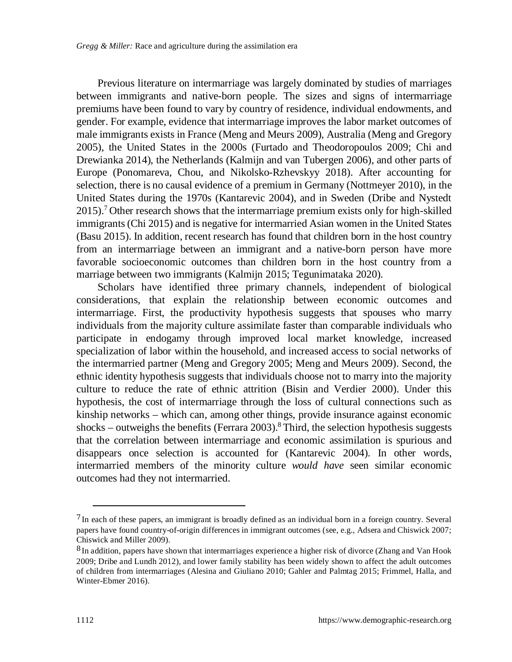Previous literature on intermarriage was largely dominated by studies of marriages between immigrants and native-born people. The sizes and signs of intermarriage premiums have been found to vary by country of residence, individual endowments, and gender. For example, evidence that intermarriage improves the labor market outcomes of male immigrants exists in France (Meng and Meurs 2009), Australia (Meng and Gregory 2005), the United States in the 2000s (Furtado and Theodoropoulos 2009; Chi and Drewianka 2014), the Netherlands (Kalmijn and van Tubergen 2006), and other parts of Europe (Ponomareva, Chou, and Nikolsko-Rzhevskyy 2018). After accounting for selection, there is no causal evidence of a premium in Germany (Nottmeyer 2010), in the United States during the 1970s (Kantarevic 2004), and in Sweden (Dribe and Nystedt 2015).[7](#page-5-0) Other research shows that the intermarriage premium exists only for high-skilled immigrants (Chi 2015) and is negative for intermarried Asian women in the United States (Basu 2015). In addition, recent research has found that children born in the host country from an intermarriage between an immigrant and a native-born person have more favorable socioeconomic outcomes than children born in the host country from a marriage between two immigrants (Kalmijn 2015; Tegunimataka 2020).

Scholars have identified three primary channels, independent of biological considerations, that explain the relationship between economic outcomes and intermarriage. First, the productivity hypothesis suggests that spouses who marry individuals from the majority culture assimilate faster than comparable individuals who participate in endogamy through improved local market knowledge, increased specialization of labor within the household, and increased access to social networks of the intermarried partner (Meng and Gregory 2005; Meng and Meurs 2009). Second, the ethnic identity hypothesis suggests that individuals choose not to marry into the majority culture to reduce the rate of ethnic attrition (Bisin and Verdier 2000). Under this hypothesis, the cost of intermarriage through the loss of cultural connections such as kinship networks – which can, among other things, provide insurance against economic shocks – outweighs the benefits (Ferrara 2003).<sup>[8](#page-5-1)</sup> Third, the selection hypothesis suggests that the correlation between intermarriage and economic assimilation is spurious and disappears once selection is accounted for (Kantarevic 2004). In other words, intermarried members of the minority culture *would have* seen similar economic outcomes had they not intermarried.

<span id="page-5-0"></span> $<sup>7</sup>$  In each of these papers, an immigrant is broadly defined as an individual born in a foreign country. Several</sup> papers have found country-of-origin differences in immigrant outcomes (see, e.g., Adsera and Chiswick 2007; Chiswick and Miller 2009).

<span id="page-5-1"></span><sup>&</sup>lt;sup>8</sup> In addition, papers have shown that intermarriages experience a higher risk of divorce (Zhang and Van Hook 2009; Dribe and Lundh 2012), and lower family stability has been widely shown to affect the adult outcomes of children from intermarriages (Alesina and Giuliano 2010; Gahler and Palmtag 2015; Frimmel, Halla, and Winter-Ebmer 2016).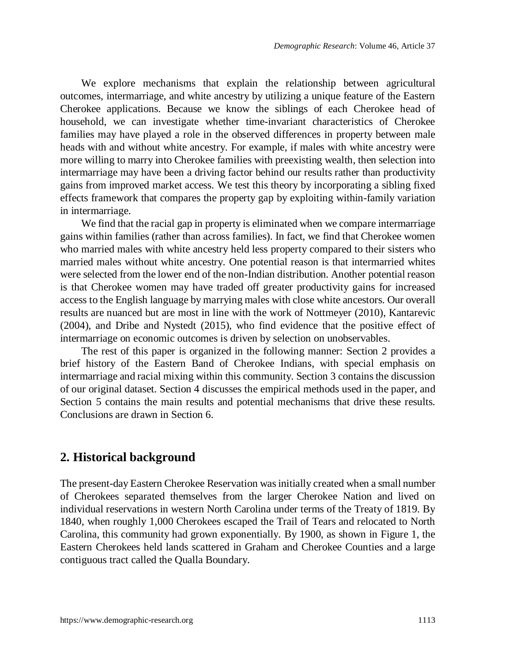We explore mechanisms that explain the relationship between agricultural outcomes, intermarriage, and white ancestry by utilizing a unique feature of the Eastern Cherokee applications. Because we know the siblings of each Cherokee head of household, we can investigate whether time-invariant characteristics of Cherokee families may have played a role in the observed differences in property between male heads with and without white ancestry. For example, if males with white ancestry were more willing to marry into Cherokee families with preexisting wealth, then selection into intermarriage may have been a driving factor behind our results rather than productivity gains from improved market access. We test this theory by incorporating a sibling fixed effects framework that compares the property gap by exploiting within-family variation in intermarriage.

We find that the racial gap in property is eliminated when we compare intermarriage gains within families (rather than across families). In fact, we find that Cherokee women who married males with white ancestry held less property compared to their sisters who married males without white ancestry. One potential reason is that intermarried whites were selected from the lower end of the non-Indian distribution. Another potential reason is that Cherokee women may have traded off greater productivity gains for increased access to the English language by marrying males with close white ancestors. Our overall results are nuanced but are most in line with the work of Nottmeyer (2010), Kantarevic (2004), and Dribe and Nystedt (2015), who find evidence that the positive effect of intermarriage on economic outcomes is driven by selection on unobservables.

The rest of this paper is organized in the following manner: Section 2 provides a brief history of the Eastern Band of Cherokee Indians, with special emphasis on intermarriage and racial mixing within this community. Section 3 contains the discussion of our original dataset. Section 4 discusses the empirical methods used in the paper, and Section 5 contains the main results and potential mechanisms that drive these results. Conclusions are drawn in Section 6.

## **2. Historical background**

The present-day Eastern Cherokee Reservation was initially created when a small number of Cherokees separated themselves from the larger Cherokee Nation and lived on individual reservations in western North Carolina under terms of the Treaty of 1819. By 1840, when roughly 1,000 Cherokees escaped the Trail of Tears and relocated to North Carolina, this community had grown exponentially. By 1900, as shown in Figure 1, the Eastern Cherokees held lands scattered in Graham and Cherokee Counties and a large contiguous tract called the Qualla Boundary.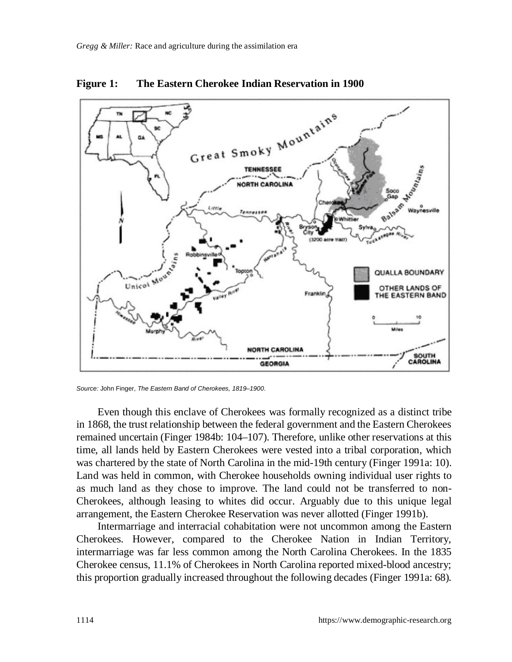

**Figure 1: The Eastern Cherokee Indian Reservation in 1900**

Even though this enclave of Cherokees was formally recognized as a distinct tribe in 1868, the trust relationship between the federal government and the Eastern Cherokees remained uncertain (Finger 1984b: 104–107). Therefore, unlike other reservations at this time, all lands held by Eastern Cherokees were vested into a tribal corporation, which was chartered by the state of North Carolina in the mid-19th century (Finger 1991a: 10). Land was held in common, with Cherokee households owning individual user rights to as much land as they chose to improve. The land could not be transferred to non-Cherokees, although leasing to whites did occur. Arguably due to this unique legal arrangement, the Eastern Cherokee Reservation was never allotted (Finger 1991b).

Intermarriage and interracial cohabitation were not uncommon among the Eastern Cherokees. However, compared to the Cherokee Nation in Indian Territory, intermarriage was far less common among the North Carolina Cherokees. In the 1835 Cherokee census, 11.1% of Cherokees in North Carolina reported mixed-blood ancestry; this proportion gradually increased throughout the following decades (Finger 1991a: 68).

*Source:* John Finger, *The Eastern Band of Cherokees, 1819–1900*.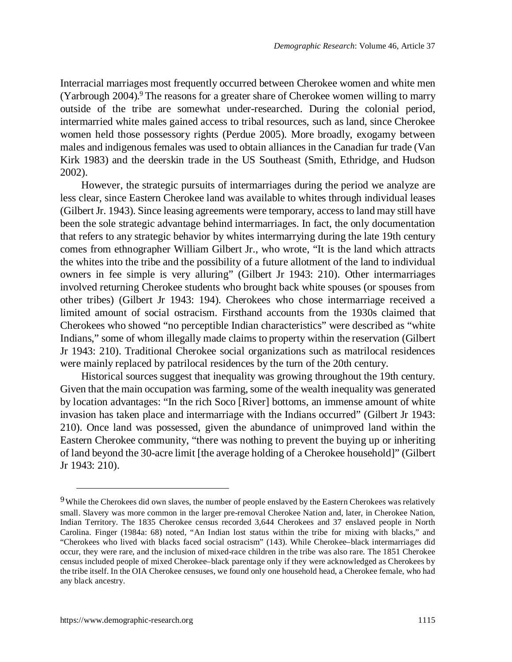Interracial marriages most frequently occurred between Cherokee women and white men (Yarbrough 2004).<sup>[9](#page-8-0)</sup> The reasons for a greater share of Cherokee women willing to marry outside of the tribe are somewhat under-researched. During the colonial period, intermarried white males gained access to tribal resources, such as land, since Cherokee women held those possessory rights (Perdue 2005). More broadly, exogamy between males and indigenous females was used to obtain alliances in the Canadian fur trade (Van Kirk 1983) and the deerskin trade in the US Southeast (Smith, Ethridge, and Hudson 2002).

However, the strategic pursuits of intermarriages during the period we analyze are less clear, since Eastern Cherokee land was available to whites through individual leases (Gilbert Jr. 1943). Since leasing agreements were temporary, access to land may still have been the sole strategic advantage behind intermarriages. In fact, the only documentation that refers to any strategic behavior by whites intermarrying during the late 19th century comes from ethnographer William Gilbert Jr., who wrote, "It is the land which attracts the whites into the tribe and the possibility of a future allotment of the land to individual owners in fee simple is very alluring" (Gilbert Jr 1943: 210). Other intermarriages involved returning Cherokee students who brought back white spouses (or spouses from other tribes) (Gilbert Jr 1943: 194). Cherokees who chose intermarriage received a limited amount of social ostracism. Firsthand accounts from the 1930s claimed that Cherokees who showed "no perceptible Indian characteristics" were described as "white Indians," some of whom illegally made claims to property within the reservation (Gilbert Jr 1943: 210). Traditional Cherokee social organizations such as matrilocal residences were mainly replaced by patrilocal residences by the turn of the 20th century.

Historical sources suggest that inequality was growing throughout the 19th century. Given that the main occupation was farming, some of the wealth inequality was generated by location advantages: "In the rich Soco [River] bottoms, an immense amount of white invasion has taken place and intermarriage with the Indians occurred" (Gilbert Jr 1943: 210). Once land was possessed, given the abundance of unimproved land within the Eastern Cherokee community, "there was nothing to prevent the buying up or inheriting of land beyond the 30-acre limit [the average holding of a Cherokee household]" (Gilbert Jr 1943: 210).

<span id="page-8-0"></span><sup>&</sup>lt;sup>9</sup> While the Cherokees did own slaves, the number of people enslaved by the Eastern Cherokees was relatively small. Slavery was more common in the larger pre-removal Cherokee Nation and, later, in Cherokee Nation, Indian Territory. The 1835 Cherokee census recorded 3,644 Cherokees and 37 enslaved people in North Carolina. Finger (1984a: 68) noted, "An Indian lost status within the tribe for mixing with blacks," and "Cherokees who lived with blacks faced social ostracism" (143). While Cherokee–black intermarriages did occur, they were rare, and the inclusion of mixed-race children in the tribe was also rare. The 1851 Cherokee census included people of mixed Cherokee–black parentage only if they were acknowledged as Cherokees by the tribe itself. In the OIA Cherokee censuses, we found only one household head, a Cherokee female, who had any black ancestry.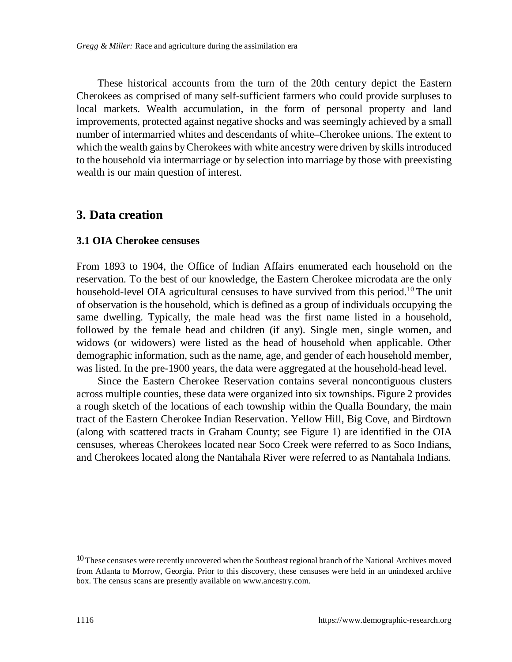These historical accounts from the turn of the 20th century depict the Eastern Cherokees as comprised of many self-sufficient farmers who could provide surpluses to local markets. Wealth accumulation, in the form of personal property and land improvements, protected against negative shocks and was seemingly achieved by a small number of intermarried whites and descendants of white–Cherokee unions. The extent to which the wealth gains by Cherokees with white ancestry were driven by skills introduced to the household via intermarriage or by selection into marriage by those with preexisting wealth is our main question of interest.

## **3. Data creation**

#### **3.1 OIA Cherokee censuses**

From 1893 to 1904, the Office of Indian Affairs enumerated each household on the reservation. To the best of our knowledge, the Eastern Cherokee microdata are the only household-level OIA agricultural censuses to have survived from this period.<sup>[10](#page-9-0)</sup> The unit of observation is the household, which is defined as a group of individuals occupying the same dwelling. Typically, the male head was the first name listed in a household, followed by the female head and children (if any). Single men, single women, and widows (or widowers) were listed as the head of household when applicable. Other demographic information, such as the name, age, and gender of each household member, was listed. In the pre-1900 years, the data were aggregated at the household-head level.

Since the Eastern Cherokee Reservation contains several noncontiguous clusters across multiple counties, these data were organized into six townships. Figure 2 provides a rough sketch of the locations of each township within the Qualla Boundary, the main tract of the Eastern Cherokee Indian Reservation. Yellow Hill, Big Cove, and Birdtown (along with scattered tracts in Graham County; see Figure 1) are identified in the OIA censuses, whereas Cherokees located near Soco Creek were referred to as Soco Indians, and Cherokees located along the Nantahala River were referred to as Nantahala Indians.

<span id="page-9-0"></span><sup>&</sup>lt;sup>10</sup> These censuses were recently uncovered when the Southeast regional branch of the National Archives moved from Atlanta to Morrow, Georgia. Prior to this discovery, these censuses were held in an unindexed archive box. The census scans are presently available on www.ancestry.com.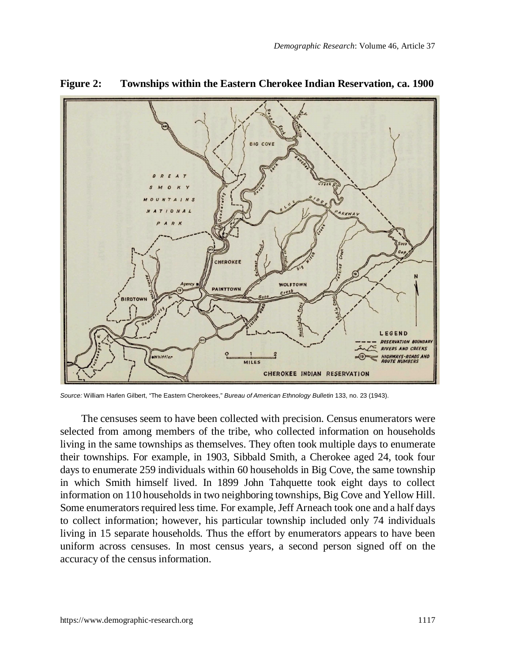

**Figure 2: Townships within the Eastern Cherokee Indian Reservation, ca. 1900**

*Source:* William Harlen Gilbert, "The Eastern Cherokees," *Bureau of American Ethnology Bulletin* 133, no. 23 (1943).

The censuses seem to have been collected with precision. Census enumerators were selected from among members of the tribe, who collected information on households living in the same townships as themselves. They often took multiple days to enumerate their townships. For example, in 1903, Sibbald Smith, a Cherokee aged 24, took four days to enumerate 259 individuals within 60 households in Big Cove, the same township in which Smith himself lived. In 1899 John Tahquette took eight days to collect information on 110 households in two neighboring townships, Big Cove and Yellow Hill. Some enumerators required less time. For example, Jeff Arneach took one and a half days to collect information; however, his particular township included only 74 individuals living in 15 separate households. Thus the effort by enumerators appears to have been uniform across censuses. In most census years, a second person signed off on the accuracy of the census information.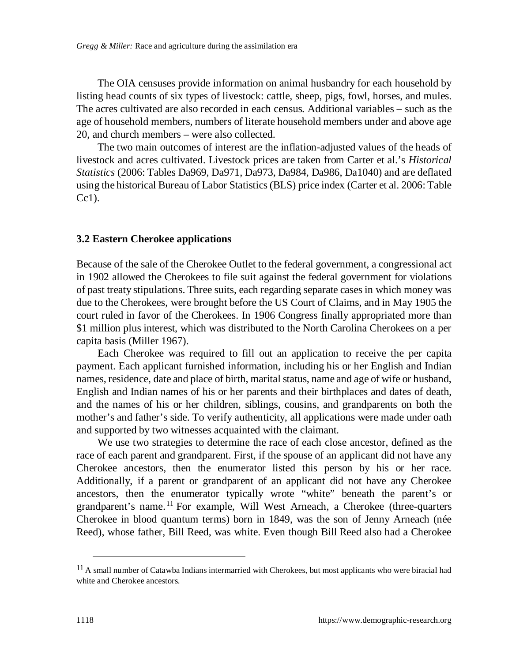The OIA censuses provide information on animal husbandry for each household by listing head counts of six types of livestock: cattle, sheep, pigs, fowl, horses, and mules. The acres cultivated are also recorded in each census. Additional variables – such as the age of household members, numbers of literate household members under and above age 20, and church members – were also collected.

The two main outcomes of interest are the inflation-adjusted values of the heads of livestock and acres cultivated. Livestock prices are taken from Carter et al.'s *Historical Statistics* (2006: Tables Da969, Da971, Da973, Da984, Da986, Da1040) and are deflated using the historical Bureau of Labor Statistics (BLS) price index (Carter et al. 2006: Table  $Cc1$ ).

#### **3.2 Eastern Cherokee applications**

Because of the sale of the Cherokee Outlet to the federal government, a congressional act in 1902 allowed the Cherokees to file suit against the federal government for violations of past treaty stipulations. Three suits, each regarding separate cases in which money was due to the Cherokees, were brought before the US Court of Claims, and in May 1905 the court ruled in favor of the Cherokees. In 1906 Congress finally appropriated more than \$1 million plus interest, which was distributed to the North Carolina Cherokees on a per capita basis (Miller 1967).

Each Cherokee was required to fill out an application to receive the per capita payment. Each applicant furnished information, including his or her English and Indian names, residence, date and place of birth, marital status, name and age of wife or husband, English and Indian names of his or her parents and their birthplaces and dates of death, and the names of his or her children, siblings, cousins, and grandparents on both the mother's and father's side. To verify authenticity, all applications were made under oath and supported by two witnesses acquainted with the claimant.

We use two strategies to determine the race of each close ancestor, defined as the race of each parent and grandparent. First, if the spouse of an applicant did not have any Cherokee ancestors, then the enumerator listed this person by his or her race. Additionally, if a parent or grandparent of an applicant did not have any Cherokee ancestors, then the enumerator typically wrote "white" beneath the parent's or grandparent's name.[11](#page-11-0) For example, Will West Arneach, a Cherokee (three-quarters Cherokee in blood quantum terms) born in 1849, was the son of Jenny Arneach (née Reed), whose father, Bill Reed, was white. Even though Bill Reed also had a Cherokee

<span id="page-11-0"></span><sup>&</sup>lt;sup>11</sup> A small number of Catawba Indians intermarried with Cherokees, but most applicants who were biracial had white and Cherokee ancestors.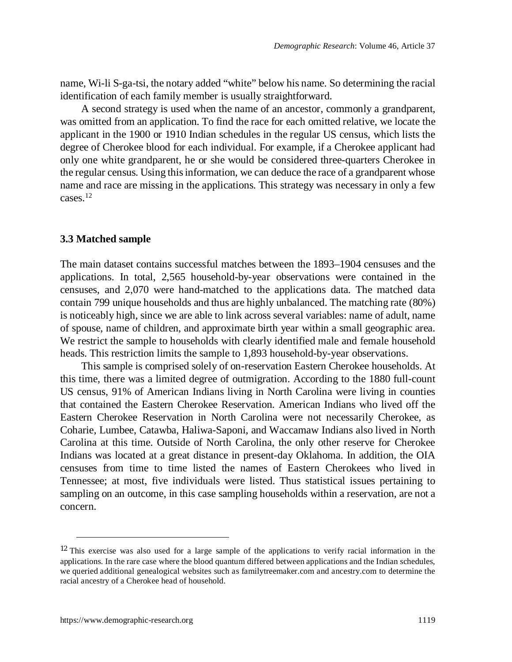name, Wi-li S-ga-tsi, the notary added "white" below his name. So determining the racial identification of each family member is usually straightforward.

A second strategy is used when the name of an ancestor, commonly a grandparent, was omitted from an application. To find the race for each omitted relative, we locate the applicant in the 1900 or 1910 Indian schedules in the regular US census, which lists the degree of Cherokee blood for each individual. For example, if a Cherokee applicant had only one white grandparent, he or she would be considered three-quarters Cherokee in the regular census. Using this information, we can deduce the race of a grandparent whose name and race are missing in the applications. This strategy was necessary in only a few cases.[12](#page-12-0)

#### **3.3 Matched sample**

The main dataset contains successful matches between the 1893–1904 censuses and the applications. In total, 2,565 household-by-year observations were contained in the censuses, and 2,070 were hand-matched to the applications data. The matched data contain 799 unique households and thus are highly unbalanced. The matching rate (80%) is noticeably high, since we are able to link across several variables: name of adult, name of spouse, name of children, and approximate birth year within a small geographic area. We restrict the sample to households with clearly identified male and female household heads. This restriction limits the sample to 1,893 household-by-year observations.

This sample is comprised solely of on-reservation Eastern Cherokee households. At this time, there was a limited degree of outmigration. According to the 1880 full-count US census, 91% of American Indians living in North Carolina were living in counties that contained the Eastern Cherokee Reservation. American Indians who lived off the Eastern Cherokee Reservation in North Carolina were not necessarily Cherokee, as Coharie, Lumbee, Catawba, Haliwa-Saponi, and Waccamaw Indians also lived in North Carolina at this time. Outside of North Carolina, the only other reserve for Cherokee Indians was located at a great distance in present-day Oklahoma. In addition, the OIA censuses from time to time listed the names of Eastern Cherokees who lived in Tennessee; at most, five individuals were listed. Thus statistical issues pertaining to sampling on an outcome, in this case sampling households within a reservation, are not a concern.

<span id="page-12-0"></span><sup>12</sup> This exercise was also used for a large sample of the applications to verify racial information in the applications. In the rare case where the blood quantum differed between applications and the Indian schedules, we queried additional genealogical websites such as familytreemaker.com and ancestry.com to determine the racial ancestry of a Cherokee head of household.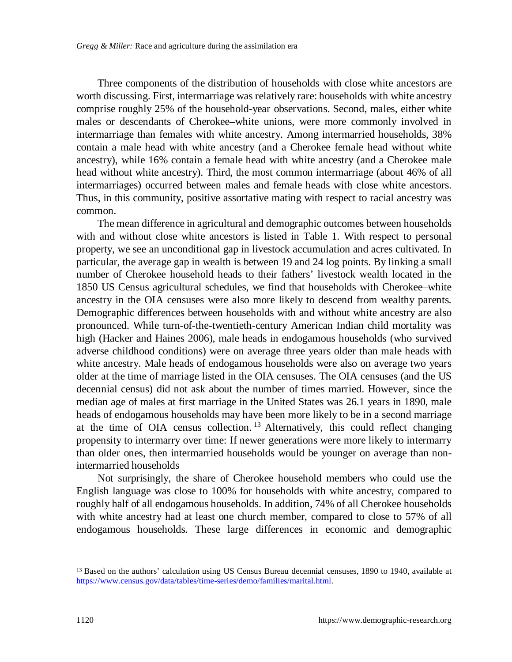Three components of the distribution of households with close white ancestors are worth discussing. First, intermarriage was relatively rare: households with white ancestry comprise roughly 25% of the household-year observations. Second, males, either white males or descendants of Cherokee–white unions, were more commonly involved in intermarriage than females with white ancestry. Among intermarried households, 38% contain a male head with white ancestry (and a Cherokee female head without white ancestry), while 16% contain a female head with white ancestry (and a Cherokee male head without white ancestry). Third, the most common intermarriage (about 46% of all intermarriages) occurred between males and female heads with close white ancestors. Thus, in this community, positive assortative mating with respect to racial ancestry was common.

The mean difference in agricultural and demographic outcomes between households with and without close white ancestors is listed in Table 1. With respect to personal property, we see an unconditional gap in livestock accumulation and acres cultivated. In particular, the average gap in wealth is between 19 and 24 log points. By linking a small number of Cherokee household heads to their fathers' livestock wealth located in the 1850 US Census agricultural schedules, we find that households with Cherokee–white ancestry in the OIA censuses were also more likely to descend from wealthy parents. Demographic differences between households with and without white ancestry are also pronounced. While turn-of-the-twentieth-century American Indian child mortality was high (Hacker and Haines 2006), male heads in endogamous households (who survived adverse childhood conditions) were on average three years older than male heads with white ancestry. Male heads of endogamous households were also on average two years older at the time of marriage listed in the OIA censuses. The OIA censuses (and the US decennial census) did not ask about the number of times married. However, since the median age of males at first marriage in the United States was 26.1 years in 1890, male heads of endogamous households may have been more likely to be in a second marriage at the time of OIA census collection.<sup>[13](#page-13-0)</sup> Alternatively, this could reflect changing propensity to intermarry over time: If newer generations were more likely to intermarry than older ones, then intermarried households would be younger on average than nonintermarried households

Not surprisingly, the share of Cherokee household members who could use the English language was close to 100% for households with white ancestry, compared to roughly half of all endogamous households. In addition, 74% of all Cherokee households with white ancestry had at least one church member, compared to close to 57% of all endogamous households. These large differences in economic and demographic

<span id="page-13-0"></span><sup>&</sup>lt;sup>13</sup> Based on the authors' calculation using US Census Bureau decennial censuses, 1890 to 1940, available at https[://www.census.gov/data/tables/time-series/demo/families/marital.html.](https://www.census.gov/data/tables/time-series/demo/families/marital.html)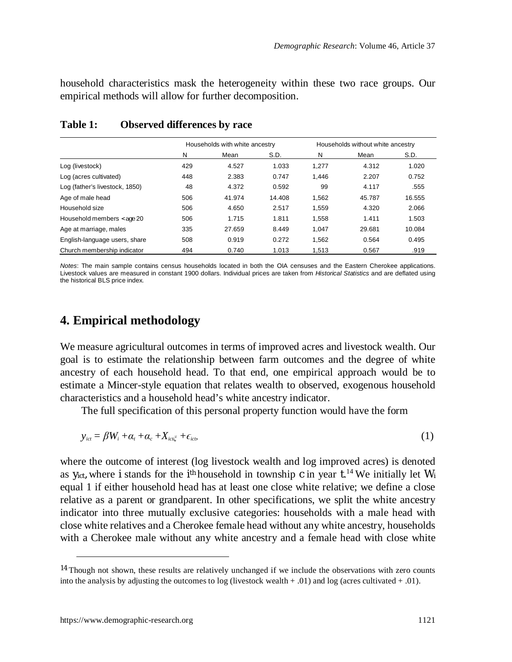household characteristics mask the heterogeneity within these two race groups. Our empirical methods will allow for further decomposition.

|                                | Households with white ancestry |        |        | Households without white ancestry |        |        |
|--------------------------------|--------------------------------|--------|--------|-----------------------------------|--------|--------|
|                                | N                              | Mean   | S.D.   | N                                 | Mean   | S.D.   |
| Log (livestock)                | 429                            | 4.527  | 1.033  | 1.277                             | 4.312  | 1.020  |
| Log (acres cultivated)         | 448                            | 2.383  | 0.747  | 1.446                             | 2.207  | 0.752  |
| Log (father's livestock, 1850) | 48                             | 4.372  | 0.592  | 99                                | 4.117  | .555   |
| Age of male head               | 506                            | 41.974 | 14.408 | 1.562                             | 45.787 | 16.555 |
| Household size                 | 506                            | 4.650  | 2.517  | 1.559                             | 4.320  | 2.066  |
| Household members < age 20     | 506                            | 1.715  | 1.811  | 1.558                             | 1.411  | 1.503  |
| Age at marriage, males         | 335                            | 27.659 | 8.449  | 1.047                             | 29.681 | 10.084 |
| English-language users, share  | 508                            | 0.919  | 0.272  | 1.562                             | 0.564  | 0.495  |
| Church membership indicator    | 494                            | 0.740  | 1.013  | 1.513                             | 0.567  | .919   |

#### **Table 1: Observed differences by race**

*Notes*: The main sample contains census households located in both the OIA censuses and the Eastern Cherokee applications. Livestock values are measured in constant 1900 dollars. Individual prices are taken from *Historical Statistics* and are deflated using the historical BLS price index.

## **4. Empirical methodology**

We measure agricultural outcomes in terms of improved acres and livestock wealth. Our goal is to estimate the relationship between farm outcomes and the degree of white ancestry of each household head. To that end, one empirical approach would be to estimate a Mincer-style equation that relates wealth to observed, exogenous household characteristics and a household head's white ancestry indicator.

The full specification of this personal property function would have the form

$$
y_{ict} = \beta W_i + \alpha_t + \alpha_c + X_{ict} + \epsilon_{ict}
$$
 (1)

where the outcome of interest (log livestock wealth and log improved acres) is denoted as *y*<sub>ict</sub>, where *i* stands for the *i*<sup>th</sup> household in township *c* in year  $t^{14}$  $t^{14}$  $t^{14}$  We initially let *W* equal 1 if either household head has at least one close white relative; we define a close relative as a parent or grandparent. In other specifications, we split the white ancestry indicator into three mutually exclusive categories: households with a male head with close white relatives and a Cherokee female head without any white ancestry, households with a Cherokee male without any white ancestry and a female head with close white

<span id="page-14-0"></span><sup>&</sup>lt;sup>14</sup> Though not shown, these results are relatively unchanged if we include the observations with zero counts into the analysis by adjusting the outcomes to log (livestock wealth + .01) and log (acres cultivated + .01).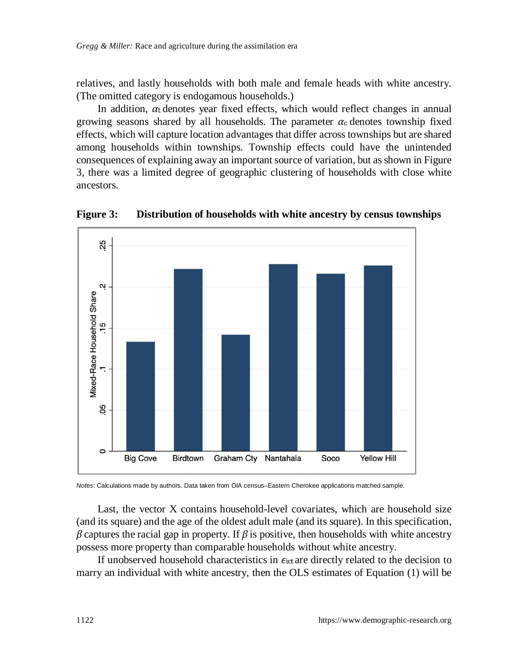relatives, and lastly households with both male and female heads with white ancestry. (The omitted category is endogamous households.)

In addition,  $\alpha_t$  denotes year fixed effects, which would reflect changes in annual growing seasons shared by all households. The parameter  $\alpha_c$  denotes township fixed effects, which will capture location advantages that differ across townships but are shared among households within townships. Township effects could have the unintended consequences of explaining away an important source of variation, but as shown in Figure 3, there was a limited degree of geographic clustering of households with close white ancestors.



**Figure 3: Distribution of households with white ancestry by census townships**

*Notes*: Calculations made by authors. Data taken from OIA census–Eastern Cherokee applications matched sample.

Last, the vector X contains household-level covariates, which are household size (and its square) and the age of the oldest adult male (and its square). In this specification, *β* captures the racial gap in property. If *β* is positive, then households with white ancestry possess more property than comparable households without white ancestry.

If unobserved household characteristics in *ϵict* are directly related to the decision to marry an individual with white ancestry, then the OLS estimates of Equation (1) will be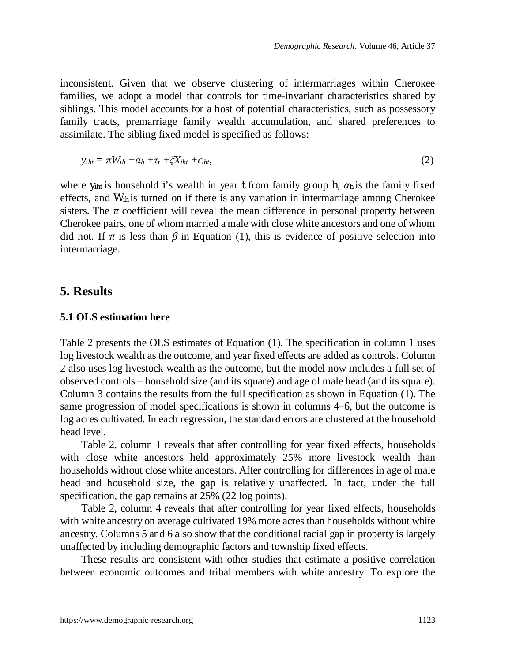inconsistent. Given that we observe clustering of intermarriages within Cherokee families, we adopt a model that controls for time-invariant characteristics shared by siblings. This model accounts for a host of potential characteristics, such as possessory family tracts, premarriage family wealth accumulation, and shared preferences to assimilate. The sibling fixed model is specified as follows:

$$
y_{iht} = \pi W_{ih} + \alpha_h + \tau_t + \zeta X_{iht} + \epsilon_{iht}, \tag{2}
$$

where  $y_{i}$ <sup>*iht*</sup> is household *i*'s wealth in year *t* from family group *h*,  $\alpha_h$  is the family fixed effects, and *Wih* is turned on if there is any variation in intermarriage among Cherokee sisters. The  $\pi$  coefficient will reveal the mean difference in personal property between Cherokee pairs, one of whom married a male with close white ancestors and one of whom did not. If  $\pi$  is less than  $\beta$  in Equation (1), this is evidence of positive selection into intermarriage.

## **5. Results**

#### **5.1 OLS estimation here**

Table 2 presents the OLS estimates of Equation (1). The specification in column 1 uses log livestock wealth as the outcome, and year fixed effects are added as controls. Column 2 also uses log livestock wealth as the outcome, but the model now includes a full set of observed controls – household size (and its square) and age of male head (and its square). Column 3 contains the results from the full specification as shown in Equation (1). The same progression of model specifications is shown in columns 4–6, but the outcome is log acres cultivated. In each regression, the standard errors are clustered at the household head level.

Table 2, column 1 reveals that after controlling for year fixed effects, households with close white ancestors held approximately 25% more livestock wealth than households without close white ancestors. After controlling for differences in age of male head and household size, the gap is relatively unaffected. In fact, under the full specification, the gap remains at 25% (22 log points).

Table 2, column 4 reveals that after controlling for year fixed effects, households with white ancestry on average cultivated 19% more acres than households without white ancestry. Columns 5 and 6 also show that the conditional racial gap in property is largely unaffected by including demographic factors and township fixed effects.

These results are consistent with other studies that estimate a positive correlation between economic outcomes and tribal members with white ancestry. To explore the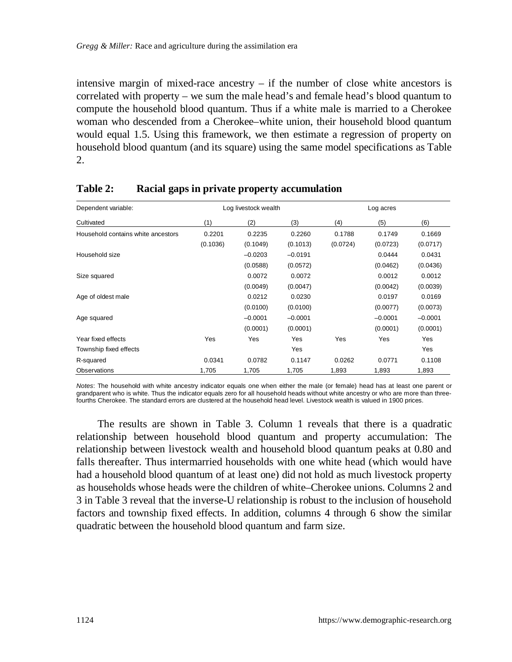intensive margin of mixed-race ancestry  $-$  if the number of close white ancestors is correlated with property – we sum the male head's and female head's blood quantum to compute the household blood quantum. Thus if a white male is married to a Cherokee woman who descended from a Cherokee–white union, their household blood quantum would equal 1.5. Using this framework, we then estimate a regression of property on household blood quantum (and its square) using the same model specifications as Table 2.

| Dependent variable:                |          | Log livestock wealth |           |          | Log acres |           |  |  |
|------------------------------------|----------|----------------------|-----------|----------|-----------|-----------|--|--|
| Cultivated                         | (1)      | (2)                  | (3)       | (4)      | (5)       | (6)       |  |  |
| Household contains white ancestors | 0.2201   | 0.2235               | 0.2260    | 0.1788   | 0.1749    | 0.1669    |  |  |
|                                    | (0.1036) | (0.1049)             | (0.1013)  | (0.0724) | (0.0723)  | (0.0717)  |  |  |
| Household size                     |          | $-0.0203$            | $-0.0191$ |          | 0.0444    | 0.0431    |  |  |
|                                    |          | (0.0588)             | (0.0572)  |          | (0.0462)  | (0.0436)  |  |  |
| Size squared                       |          | 0.0072               | 0.0072    |          | 0.0012    | 0.0012    |  |  |
|                                    |          | (0.0049)             | (0.0047)  |          | (0.0042)  | (0.0039)  |  |  |
| Age of oldest male                 |          | 0.0212               | 0.0230    |          | 0.0197    | 0.0169    |  |  |
|                                    |          | (0.0100)             | (0.0100)  |          | (0.0077)  | (0.0073)  |  |  |
| Age squared                        |          | $-0.0001$            | $-0.0001$ |          | $-0.0001$ | $-0.0001$ |  |  |
|                                    |          | (0.0001)             | (0.0001)  |          | (0.0001)  | (0.0001)  |  |  |
| Year fixed effects                 | Yes      | Yes                  | Yes       | Yes      | Yes       | Yes       |  |  |
| Township fixed effects             |          |                      | Yes       |          |           | Yes       |  |  |
| R-squared                          | 0.0341   | 0.0782               | 0.1147    | 0.0262   | 0.0771    | 0.1108    |  |  |
| Observations                       | 1,705    | 1,705                | 1,705     | 1.893    | 1,893     | 1,893     |  |  |

### **Table 2: Racial gaps in private property accumulation**

*Notes*: The household with white ancestry indicator equals one when either the male (or female) head has at least one parent or grandparent who is white. Thus the indicator equals zero for all household heads without white ancestry or who are more than threefourths Cherokee. The standard errors are clustered at the household head level. Livestock wealth is valued in 1900 prices.

The results are shown in Table 3. Column 1 reveals that there is a quadratic relationship between household blood quantum and property accumulation: The relationship between livestock wealth and household blood quantum peaks at 0.80 and falls thereafter. Thus intermarried households with one white head (which would have had a household blood quantum of at least one) did not hold as much livestock property as households whose heads were the children of white–Cherokee unions. Columns 2 and 3 in Table 3 reveal that the inverse-U relationship is robust to the inclusion of household factors and township fixed effects. In addition, columns 4 through 6 show the similar quadratic between the household blood quantum and farm size.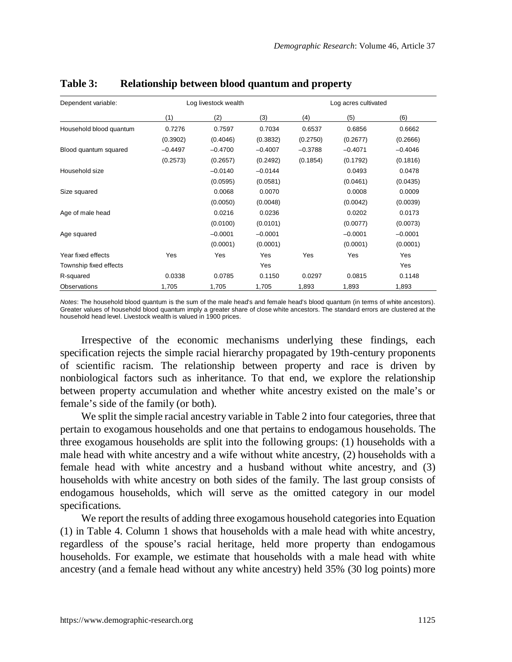| Dependent variable:     |           | Log livestock wealth |           |           | Log acres cultivated |           |
|-------------------------|-----------|----------------------|-----------|-----------|----------------------|-----------|
|                         | (1)       | (2)                  | (3)       | (4)       | (5)                  | (6)       |
| Household blood quantum | 0.7276    | 0.7597               | 0.7034    | 0.6537    | 0.6856               | 0.6662    |
|                         | (0.3902)  | (0.4046)             | (0.3832)  | (0.2750)  | (0.2677)             | (0.2666)  |
| Blood quantum squared   | $-0.4497$ | $-0.4700$            | $-0.4007$ | $-0.3788$ | $-0.4071$            | $-0.4046$ |
|                         | (0.2573)  | (0.2657)             | (0.2492)  | (0.1854)  | (0.1792)             | (0.1816)  |
| Household size          |           | $-0.0140$            | $-0.0144$ |           | 0.0493               | 0.0478    |
|                         |           | (0.0595)             | (0.0581)  |           | (0.0461)             | (0.0435)  |
| Size squared            |           | 0.0068               | 0.0070    |           | 0.0008               | 0.0009    |
|                         |           | (0.0050)             | (0.0048)  |           | (0.0042)             | (0.0039)  |
| Age of male head        |           | 0.0216               | 0.0236    |           | 0.0202               | 0.0173    |
|                         |           | (0.0100)             | (0.0101)  |           | (0.0077)             | (0.0073)  |
| Age squared             |           | $-0.0001$            | $-0.0001$ |           | $-0.0001$            | $-0.0001$ |
|                         |           | (0.0001)             | (0.0001)  |           | (0.0001)             | (0.0001)  |
| Year fixed effects      | Yes       | Yes                  | Yes       | Yes       | Yes                  | Yes       |
| Township fixed effects  |           |                      | Yes       |           |                      | Yes       |
| R-squared               | 0.0338    | 0.0785               | 0.1150    | 0.0297    | 0.0815               | 0.1148    |
| Observations            | 1,705     | 1,705                | 1,705     | 1,893     | 1,893                | 1,893     |

#### **Table 3: Relationship between blood quantum and property**

*Notes*: The household blood quantum is the sum of the male head's and female head's blood quantum (in terms of white ancestors). Greater values of household blood quantum imply a greater share of close white ancestors. The standard errors are clustered at the household head level. Livestock wealth is valued in 1900 prices.

Irrespective of the economic mechanisms underlying these findings, each specification rejects the simple racial hierarchy propagated by 19th-century proponents of scientific racism. The relationship between property and race is driven by nonbiological factors such as inheritance. To that end, we explore the relationship between property accumulation and whether white ancestry existed on the male's or female's side of the family (or both).

We split the simple racial ancestry variable in Table 2 into four categories, three that pertain to exogamous households and one that pertains to endogamous households. The three exogamous households are split into the following groups: (1) households with a male head with white ancestry and a wife without white ancestry, (2) households with a female head with white ancestry and a husband without white ancestry, and (3) households with white ancestry on both sides of the family. The last group consists of endogamous households, which will serve as the omitted category in our model specifications.

We report the results of adding three exogamous household categories into Equation (1) in Table 4. Column 1 shows that households with a male head with white ancestry, regardless of the spouse's racial heritage, held more property than endogamous households. For example, we estimate that households with a male head with white ancestry (and a female head without any white ancestry) held 35% (30 log points) more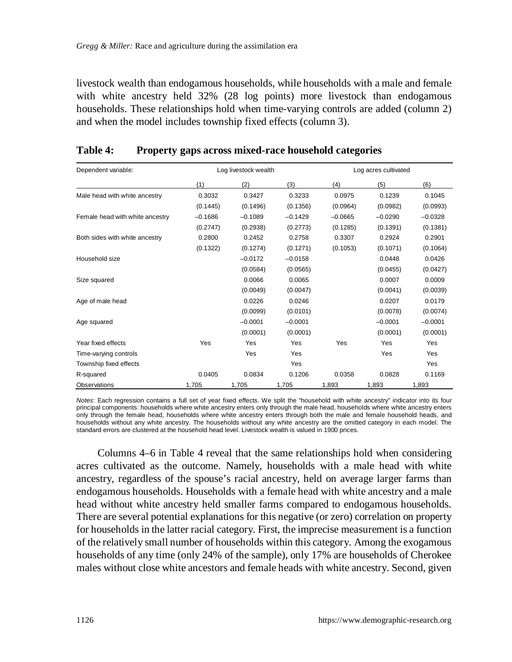livestock wealth than endogamous households, while households with a male and female with white ancestry held 32% (28 log points) more livestock than endogamous households. These relationships hold when time-varying controls are added (column 2) and when the model includes township fixed effects (column 3).

| Dependent variable:             |           | Log livestock wealth |           | Log acres cultivated |           |           |  |
|---------------------------------|-----------|----------------------|-----------|----------------------|-----------|-----------|--|
|                                 | (1)       | (2)                  | (3)       | (4)                  | (5)       | (6)       |  |
| Male head with white ancestry   | 0.3032    | 0.3427               | 0.3233    | 0.0975               | 0.1239    | 0.1045    |  |
|                                 | (0.1445)  | (0.1496)             | (0.1356)  | (0.0964)             | (0.0982)  | (0.0993)  |  |
| Female head with white ancestry | $-0.1686$ | $-0.1089$            | $-0.1429$ | $-0.0665$            | $-0.0290$ | $-0.0328$ |  |
|                                 | (0.2747)  | (0.2938)             | (0.2773)  | (0.1285)             | (0.1391)  | (0.1381)  |  |
| Both sides with white ancestry  | 0.2800    | 0.2452               | 0.2758    | 0.3307               | 0.2924    | 0.2901    |  |
|                                 | (0.1322)  | (0.1274)             | (0.1271)  | (0.1053)             | (0.1071)  | (0.1064)  |  |
| Household size                  |           | $-0.0172$            | $-0.0158$ |                      | 0.0448    | 0.0426    |  |
|                                 |           | (0.0584)             | (0.0565)  |                      | (0.0455)  | (0.0427)  |  |
| Size squared                    |           | 0.0066               | 0.0065    |                      | 0.0007    | 0.0009    |  |
|                                 |           | (0.0049)             | (0.0047)  |                      | (0.0041)  | (0.0039)  |  |
| Age of male head                |           | 0.0226               | 0.0246    |                      | 0.0207    | 0.0179    |  |
|                                 |           | (0.0099)             | (0.0101)  |                      | (0.0078)  | (0.0074)  |  |
| Age squared                     |           | $-0.0001$            | $-0.0001$ |                      | $-0.0001$ | $-0.0001$ |  |
|                                 |           | (0.0001)             | (0.0001)  |                      | (0.0001)  | (0.0001)  |  |
| Year fixed effects              | Yes       | Yes                  | Yes       | Yes                  | Yes       | Yes       |  |
| Time-varying controls           |           | Yes                  | Yes       |                      | Yes       | Yes       |  |
| Township fixed effects          |           |                      | Yes       |                      |           | Yes       |  |
| R-squared                       | 0.0405    | 0.0834               | 0.1206    | 0.0358               | 0.0828    | 0.1169    |  |
| Observations                    | 1,705     | 1,705                | 1,705     | 1,893                | 1,893     | 1,893     |  |

#### **Table 4: Property gaps across mixed-race household categories**

*Notes*: Each regression contains a full set of year fixed effects. We split the "household with white ancestry" indicator into its four principal components: households where white ancestry enters only through the male head, households where white ancestry enters only through the female head, households where white ancestry enters through both the male and female household heads, and households without any white ancestry. The households without any white ancestry are the omitted category in each model. The standard errors are clustered at the household head level. Livestock wealth is valued in 1900 prices.

Columns 4–6 in Table 4 reveal that the same relationships hold when considering acres cultivated as the outcome. Namely, households with a male head with white ancestry, regardless of the spouse's racial ancestry, held on average larger farms than endogamous households. Households with a female head with white ancestry and a male head without white ancestry held smaller farms compared to endogamous households. There are several potential explanations for this negative (or zero) correlation on property for households in the latter racial category. First, the imprecise measurement is a function of the relatively small number of households within this category. Among the exogamous households of any time (only 24% of the sample), only 17% are households of Cherokee males without close white ancestors and female heads with white ancestry. Second, given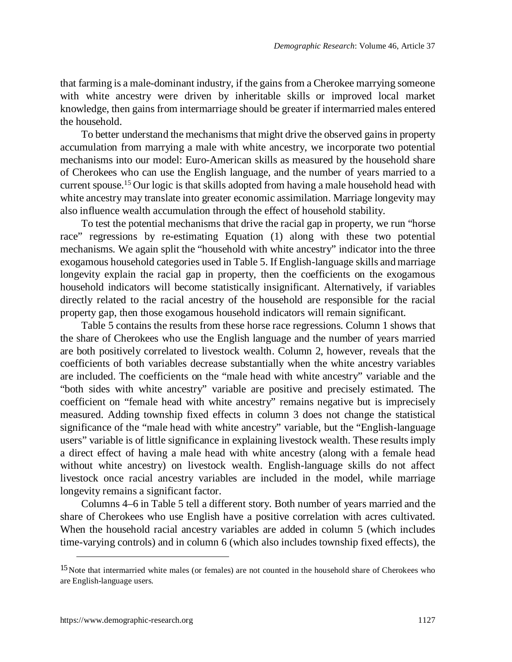that farming is a male-dominant industry, if the gains from a Cherokee marrying someone with white ancestry were driven by inheritable skills or improved local market knowledge, then gains from intermarriage should be greater if intermarried males entered the household.

To better understand the mechanisms that might drive the observed gains in property accumulation from marrying a male with white ancestry, we incorporate two potential mechanisms into our model: Euro-American skills as measured by the household share of Cherokees who can use the English language, and the number of years married to a current spouse.[15](#page-20-0) Our logic is that skills adopted from having a male household head with white ancestry may translate into greater economic assimilation. Marriage longevity may also influence wealth accumulation through the effect of household stability.

To test the potential mechanisms that drive the racial gap in property, we run "horse race" regressions by re-estimating Equation (1) along with these two potential mechanisms. We again split the "household with white ancestry" indicator into the three exogamous household categories used in Table 5. If English-language skills and marriage longevity explain the racial gap in property, then the coefficients on the exogamous household indicators will become statistically insignificant. Alternatively, if variables directly related to the racial ancestry of the household are responsible for the racial property gap, then those exogamous household indicators will remain significant.

Table 5 contains the results from these horse race regressions. Column 1 shows that the share of Cherokees who use the English language and the number of years married are both positively correlated to livestock wealth. Column 2, however, reveals that the coefficients of both variables decrease substantially when the white ancestry variables are included. The coefficients on the "male head with white ancestry" variable and the "both sides with white ancestry" variable are positive and precisely estimated. The coefficient on "female head with white ancestry" remains negative but is imprecisely measured. Adding township fixed effects in column 3 does not change the statistical significance of the "male head with white ancestry" variable, but the "English-language users" variable is of little significance in explaining livestock wealth. These results imply a direct effect of having a male head with white ancestry (along with a female head without white ancestry) on livestock wealth. English-language skills do not affect livestock once racial ancestry variables are included in the model, while marriage longevity remains a significant factor.

Columns 4–6 in Table 5 tell a different story. Both number of years married and the share of Cherokees who use English have a positive correlation with acres cultivated. When the household racial ancestry variables are added in column 5 (which includes time-varying controls) and in column 6 (which also includes township fixed effects), the

<span id="page-20-0"></span><sup>&</sup>lt;sup>15</sup> Note that intermarried white males (or females) are not counted in the household share of Cherokees who are English-language users.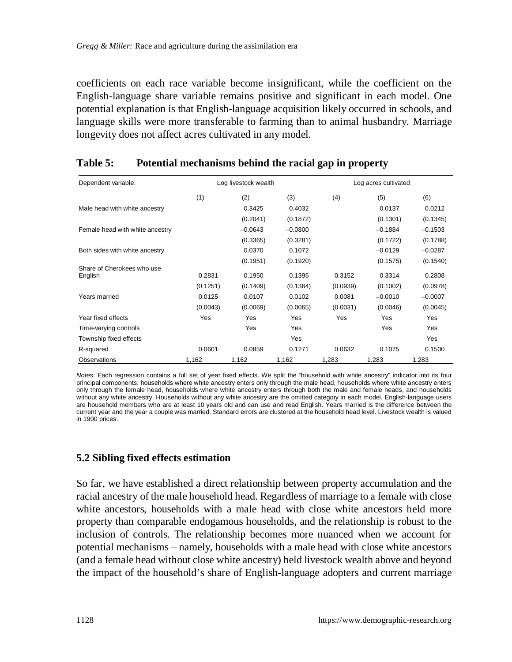coefficients on each race variable become insignificant, while the coefficient on the English-language share variable remains positive and significant in each model. One potential explanation is that English-language acquisition likely occurred in schools, and language skills were more transferable to farming than to animal husbandry. Marriage longevity does not affect acres cultivated in any model.

| Dependent variable:                   | Log livestock wealth |           |           | Log acres cultivated |            |            |
|---------------------------------------|----------------------|-----------|-----------|----------------------|------------|------------|
|                                       | (1)                  | (2)       | (3)       | (4)                  | (5)        | (6)        |
| Male head with white ancestry         |                      | 0.3425    | 0.4032    |                      | 0.0137     | 0.0212     |
|                                       |                      | (0.2041)  | (0.1872)  |                      | (0.1301)   | (0.1345)   |
| Female head with white ancestry       |                      | $-0.0643$ | $-0.0800$ |                      | $-0.1884$  | $-0.1503$  |
|                                       |                      | (0.3365)  | (0.3281)  |                      | (0.1722)   | (0.1788)   |
| Both sides with white ancestry        |                      | 0.0370    | 0.1072    |                      | $-0.0129$  | $-0.0287$  |
|                                       |                      | (0.1951)  | (0.1920)  |                      | (0.1575)   | (0.1540)   |
| Share of Cherokees who use<br>English | 0.2831               | 0.1950    | 0.1395    | 0.3152               | 0.3314     | 0.2808     |
|                                       | (0.1251)             | (0.1409)  | (0.1364)  | (0.0939)             | (0.1002)   | (0.0978)   |
| Years married                         | 0.0125               | 0.0107    | 0.0102    | 0.0081               | $-0.0010$  | $-0.0007$  |
|                                       | (0.0043)             | (0.0069)  | (0.0065)  | (0.0031)             | (0.0046)   | (0.0045)   |
| Year fixed effects                    | Yes                  | Yes       | Yes       | Yes                  | <b>Yes</b> | <b>Yes</b> |
| Time-varying controls                 |                      | Yes       | Yes       |                      | Yes        | Yes        |
| Township fixed effects                |                      |           | Yes       |                      |            | Yes        |
| R-squared                             | 0.0601               | 0.0859    | 0.1271    | 0.0632               | 0.1075     | 0.1500     |
| Observations                          | 1,162                | 1,162     | 1,162     | 1,283                | 1,283      | 1,283      |

### **Table 5: Potential mechanisms behind the racial gap in property**

*Notes*: Each regression contains a full set of year fixed effects. We split the "household with white ancestry" indicator into its four principal components: households where white ancestry enters only through the male head, households where white ancestry enters only through the female head, households where white ancestry enters through both the male and female heads, and households without any white ancestry. Households without any white ancestry are the omitted category in each model. English-language users are household members who are at least 10 years old and can use and read English. Years married is the difference between the current year and the year a couple was married. Standard errors are clustered at the household head level. Livestock wealth is valued in 1900 prices.

## **5.2 Sibling fixed effects estimation**

So far, we have established a direct relationship between property accumulation and the racial ancestry of the male household head. Regardless of marriage to a female with close white ancestors, households with a male head with close white ancestors held more property than comparable endogamous households, and the relationship is robust to the inclusion of controls. The relationship becomes more nuanced when we account for potential mechanisms – namely, households with a male head with close white ancestors (and a female head without close white ancestry) held livestock wealth above and beyond the impact of the household's share of English-language adopters and current marriage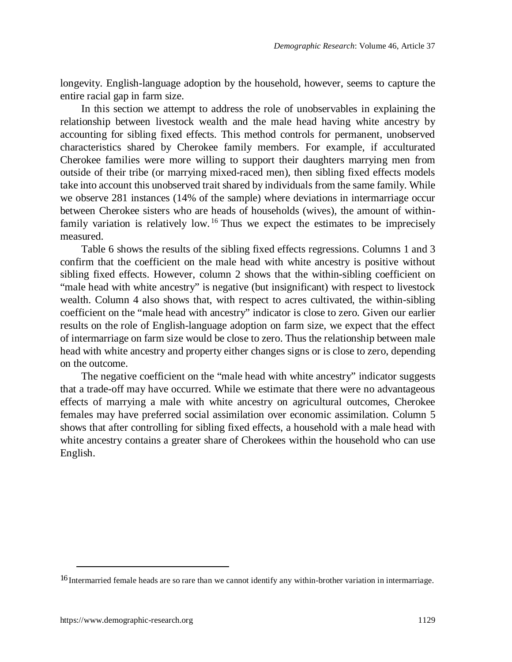longevity. English-language adoption by the household, however, seems to capture the entire racial gap in farm size.

In this section we attempt to address the role of unobservables in explaining the relationship between livestock wealth and the male head having white ancestry by accounting for sibling fixed effects. This method controls for permanent, unobserved characteristics shared by Cherokee family members. For example, if acculturated Cherokee families were more willing to support their daughters marrying men from outside of their tribe (or marrying mixed-raced men), then sibling fixed effects models take into account this unobserved trait shared by individuals from the same family. While we observe 281 instances (14% of the sample) where deviations in intermarriage occur between Cherokee sisters who are heads of households (wives), the amount of withinfamily variation is relatively low. [16](#page-22-0) Thus we expect the estimates to be imprecisely measured.

Table 6 shows the results of the sibling fixed effects regressions. Columns 1 and 3 confirm that the coefficient on the male head with white ancestry is positive without sibling fixed effects. However, column 2 shows that the within-sibling coefficient on "male head with white ancestry" is negative (but insignificant) with respect to livestock wealth. Column 4 also shows that, with respect to acres cultivated, the within-sibling coefficient on the "male head with ancestry" indicator is close to zero. Given our earlier results on the role of English-language adoption on farm size, we expect that the effect of intermarriage on farm size would be close to zero. Thus the relationship between male head with white ancestry and property either changes signs or is close to zero, depending on the outcome.

The negative coefficient on the "male head with white ancestry" indicator suggests that a trade-off may have occurred. While we estimate that there were no advantageous effects of marrying a male with white ancestry on agricultural outcomes, Cherokee females may have preferred social assimilation over economic assimilation. Column 5 shows that after controlling for sibling fixed effects, a household with a male head with white ancestry contains a greater share of Cherokees within the household who can use English.

<span id="page-22-0"></span><sup>16</sup> Intermarried female heads are so rare than we cannot identify any within-brother variation in intermarriage.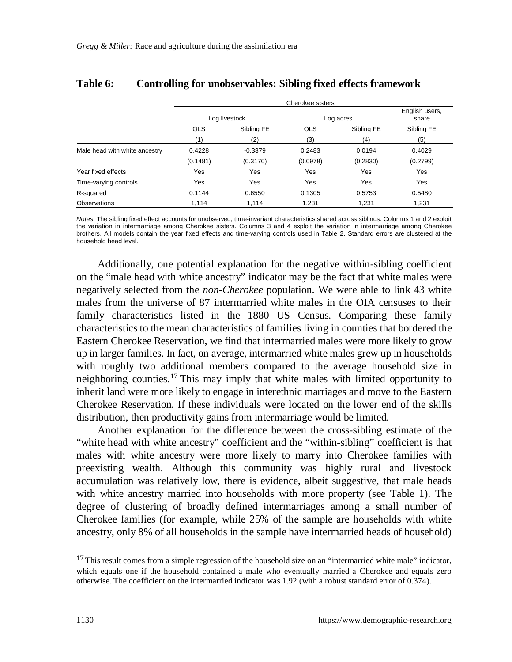|                               | Cherokee sisters |               |            |                         |            |  |
|-------------------------------|------------------|---------------|------------|-------------------------|------------|--|
|                               |                  | Log livestock | Log acres  | English users,<br>share |            |  |
|                               | <b>OLS</b>       | Sibling FE    | <b>OLS</b> | Sibling FE              | Sibling FE |  |
|                               | (1)              | (2)           | (3)        | (4)                     | (5)        |  |
| Male head with white ancestry | 0.4228           | $-0.3379$     | 0.2483     | 0.0194                  | 0.4029     |  |
|                               | (0.1481)         | (0.3170)      | (0.0978)   | (0.2830)                | (0.2799)   |  |
| Year fixed effects            | Yes              | Yes           | Yes        | Yes                     | Yes        |  |
| Time-varying controls         | Yes              | Yes           | Yes        | Yes                     | Yes        |  |
| R-squared                     | 0.1144           | 0.6550        | 0.1305     | 0.5753                  | 0.5480     |  |
| Observations                  | 1.114            | 1.114         | 1.231      | 1.231                   | 1.231      |  |

#### **Table 6: Controlling for unobservables: Sibling fixed effects framework**

*Notes*: The sibling fixed effect accounts for unobserved, time-invariant characteristics shared across siblings. Columns 1 and 2 exploit the variation in intermarriage among Cherokee sisters. Columns 3 and 4 exploit the variation in intermarriage among Cherokee brothers. All models contain the year fixed effects and time-varying controls used in Table 2. Standard errors are clustered at the household head level.

Additionally, one potential explanation for the negative within-sibling coefficient on the "male head with white ancestry" indicator may be the fact that white males were negatively selected from the *non-Cherokee* population. We were able to link 43 white males from the universe of 87 intermarried white males in the OIA censuses to their family characteristics listed in the 1880 US Census. Comparing these family characteristics to the mean characteristics of families living in counties that bordered the Eastern Cherokee Reservation, we find that intermarried males were more likely to grow up in larger families. In fact, on average, intermarried white males grew up in households with roughly two additional members compared to the average household size in neighboring counties.[17](#page-23-0) This may imply that white males with limited opportunity to inherit land were more likely to engage in interethnic marriages and move to the Eastern Cherokee Reservation. If these individuals were located on the lower end of the skills distribution, then productivity gains from intermarriage would be limited.

Another explanation for the difference between the cross-sibling estimate of the "white head with white ancestry" coefficient and the "within-sibling" coefficient is that males with white ancestry were more likely to marry into Cherokee families with preexisting wealth. Although this community was highly rural and livestock accumulation was relatively low, there is evidence, albeit suggestive, that male heads with white ancestry married into households with more property (see Table 1). The degree of clustering of broadly defined intermarriages among a small number of Cherokee families (for example, while 25% of the sample are households with white ancestry, only 8% of all households in the sample have intermarried heads of household)

<span id="page-23-0"></span><sup>&</sup>lt;sup>17</sup> This result comes from a simple regression of the household size on an "intermarried white male" indicator, which equals one if the household contained a male who eventually married a Cherokee and equals zero otherwise. The coefficient on the intermarried indicator was 1.92 (with a robust standard error of 0.374).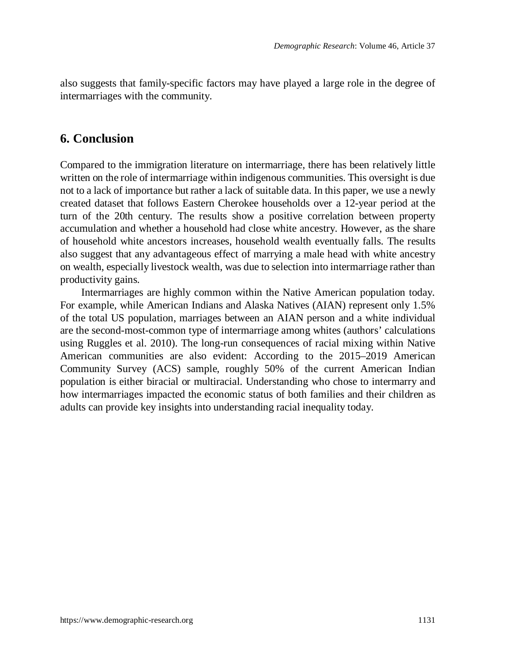also suggests that family-specific factors may have played a large role in the degree of intermarriages with the community.

## **6. Conclusion**

Compared to the immigration literature on intermarriage, there has been relatively little written on the role of intermarriage within indigenous communities. This oversight is due not to a lack of importance but rather a lack of suitable data. In this paper, we use a newly created dataset that follows Eastern Cherokee households over a 12-year period at the turn of the 20th century. The results show a positive correlation between property accumulation and whether a household had close white ancestry. However, as the share of household white ancestors increases, household wealth eventually falls. The results also suggest that any advantageous effect of marrying a male head with white ancestry on wealth, especially livestock wealth, was due to selection into intermarriage rather than productivity gains.

Intermarriages are highly common within the Native American population today. For example, while American Indians and Alaska Natives (AIAN) represent only 1.5% of the total US population, marriages between an AIAN person and a white individual are the second-most-common type of intermarriage among whites (authors' calculations using Ruggles et al. 2010). The long-run consequences of racial mixing within Native American communities are also evident: According to the 2015–2019 American Community Survey (ACS) sample, roughly 50% of the current American Indian population is either biracial or multiracial. Understanding who chose to intermarry and how intermarriages impacted the economic status of both families and their children as adults can provide key insights into understanding racial inequality today.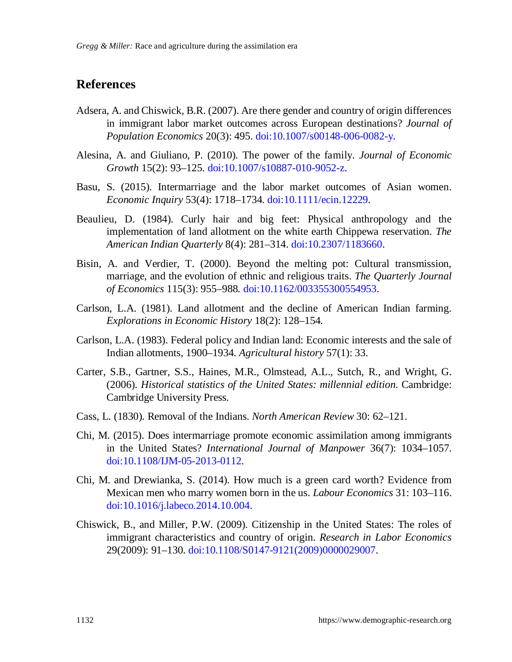# **References**

- Adsera, A. and Chiswick, B.R. (2007). Are there gender and country of origin differences in immigrant labor market outcomes across European destinations? *Journal of Population Economics* 20(3): 495. [doi:10.1007/s00148-006-0082-y](https://doi.org/10.1007/s00148-006-0082-y).
- Alesina, A. and Giuliano, P. (2010). The power of the family. *Journal of Economic Growth* 15(2): 93–125. [doi:10.1007/s10887-010-9052-z.](https://doi.org/10.1007/s10887-010-9052-z)
- Basu, S. (2015). Intermarriage and the labor market outcomes of Asian women. *Economic Inquiry* 53(4): 1718–1734. [doi:10.1111/ecin.12229](https://doi.org/10.1111/ecin.12229).
- Beaulieu, D. (1984). Curly hair and big feet: Physical anthropology and the implementation of land allotment on the white earth Chippewa reservation. *The American Indian Quarterly* 8(4): 281–314. [doi:10.2307/1183660](https://doi.org/10.2307/1183660).
- Bisin, A. and Verdier, T. (2000). Beyond the melting pot: Cultural transmission, marriage, and the evolution of ethnic and religious traits. *The Quarterly Journal of Economics* 115(3): 955–988. [doi:10.1162/003355300554953.](https://doi.org/10.1162/003355300554953)
- Carlson, L.A. (1981). Land allotment and the decline of American Indian farming. *Explorations in Economic History* 18(2): 128–154.
- Carlson, L.A. (1983). Federal policy and Indian land: Economic interests and the sale of Indian allotments, 1900–1934. *Agricultural history* 57(1): 33.
- Carter, S.B., Gartner, S.S., Haines, M.R., Olmstead, A.L., Sutch, R., and Wright, G. (2006). *Historical statistics of the United States: millennial edition*. Cambridge: Cambridge University Press.
- Cass, L. (1830). Removal of the Indians. *North American Review* 30: 62–121.
- Chi, M. (2015). Does intermarriage promote economic assimilation among immigrants in the United States? *International Journal of Manpower* 36(7): 1034–1057. [doi:10.1108/IJM-05-2013-0112](https://doi.org/10.1108/IJM-05-2013-0112).
- Chi, M. and Drewianka, S. (2014). How much is a green card worth? Evidence from Mexican men who marry women born in the us. *Labour Economics* 31: 103–116. [doi:10.1016/j.labeco.2014.10.004](https://doi.org/10.1016/j.labeco.2014.10.004).
- Chiswick, B., and Miller, P.W. (2009). Citizenship in the United States: The roles of immigrant characteristics and country of origin. *Research in Labor Economics* 29(2009): 91–130. [doi:10.1108/S0147-9121\(2009\)0000029007.](https://doi.org/10.1108/S0147-9121(2009)0000029007)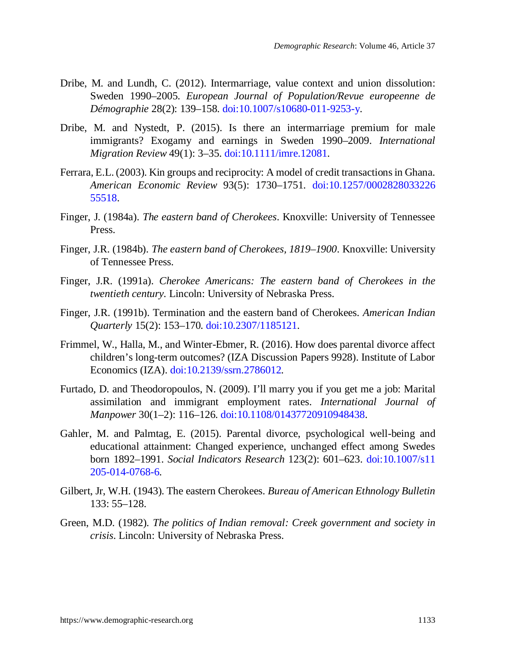- Dribe, M. and Lundh, C. (2012). Intermarriage, value context and union dissolution: Sweden 1990–2005. *European Journal of Population/Revue europeenne de Démographie* 28(2): 139–158. [doi:10.1007/s10680-011-9253-y.](https://doi.org/10.1007/s10680-011-9253-y)
- Dribe, M. and Nystedt, P. (2015). Is there an intermarriage premium for male immigrants? Exogamy and earnings in Sweden 1990–2009. *International Migration Review* 49(1): 3–35. [doi:10.1111/imre.12081](https://doi.org/10.1111/imre.12081).
- Ferrara, E.L. (2003). Kin groups and reciprocity: A model of credit transactions in Ghana. *American Economic Review* 93(5): 1730–1751. [doi:10.1257/0002828033226](https://doi.org/10.1257/000282803322655518) [55518](https://doi.org/10.1257/000282803322655518).
- Finger, J. (1984a). *The eastern band of Cherokees*. Knoxville: University of Tennessee Press.
- Finger, J.R. (1984b). *The eastern band of Cherokees, 1819–1900*. Knoxville: University of Tennessee Press.
- Finger, J.R. (1991a). *Cherokee Americans: The eastern band of Cherokees in the twentieth century*. Lincoln: University of Nebraska Press.
- Finger, J.R. (1991b). Termination and the eastern band of Cherokees. *American Indian Quarterly* 15(2): 153–170. [doi:10.2307/1185121.](https://doi.org/10.2307/1185121)
- Frimmel, W., Halla, M., and Winter-Ebmer, R. (2016). How does parental divorce affect children's long-term outcomes? (IZA Discussion Papers 9928). Institute of Labor Economics (IZA). [doi:10.2139/ssrn.2786012.](https://doi.org/10.2139/ssrn.2786012)
- Furtado, D. and Theodoropoulos, N. (2009). I'll marry you if you get me a job: Marital assimilation and immigrant employment rates. *International Journal of Manpower* 30(1–2): 116–126. [doi:10.1108/01437720910948438.](https://doi.org/10.1108/01437720910948438)
- Gahler, M. and Palmtag, E. (2015). Parental divorce, psychological well-being and educational attainment: Changed experience, unchanged effect among Swedes born 1892–1991. *Social Indicators Research* 123(2): 601–623. [doi:10.1007/s11](https://doi.org/10.1007/s11205-014-0768-6) [205-014-0768-6.](https://doi.org/10.1007/s11205-014-0768-6)
- Gilbert, Jr, W.H. (1943). The eastern Cherokees. *Bureau of American Ethnology Bulletin* 133: 55–128.
- Green, M.D. (1982). *The politics of Indian removal: Creek government and society in crisis*. Lincoln: University of Nebraska Press.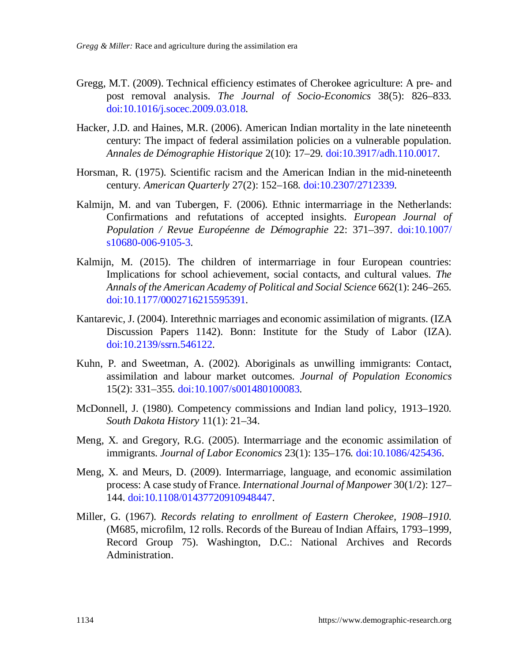- Gregg, M.T. (2009). Technical efficiency estimates of Cherokee agriculture: A pre- and post removal analysis. *The Journal of Socio-Economics* 38(5): 826–833. [doi:10.1016/j.socec.2009.03.018](https://doi.org/10.1016/j.socec.2009.03.018).
- Hacker, J.D. and Haines, M.R. (2006). American Indian mortality in the late nineteenth century: The impact of federal assimilation policies on a vulnerable population. *Annales de Démographie Historique* 2(10): 17–29. [doi:10.3917/adh.110.0017.](https://doi.org/10.3917/adh.110.0017)
- Horsman, R. (1975). Scientific racism and the American Indian in the mid-nineteenth century. *American Quarterly* 27(2): 152–168. [doi:10.2307/2712339](https://doi.org/10.2307/2712339).
- Kalmijn, M. and van Tubergen, F. (2006). Ethnic intermarriage in the Netherlands: Confirmations and refutations of accepted insights. *European Journal of Population / Revue Européenne de Démographie* 22: 371–397. [doi:10.1007/](https://doi.org/10.1007/s10680-006-9105-3) [s10680-006-9105-3](https://doi.org/10.1007/s10680-006-9105-3).
- Kalmijn, M. (2015). The children of intermarriage in four European countries: Implications for school achievement, social contacts, and cultural values. *The Annals of the American Academy of Political and Social Science* 662(1): 246–265. [doi:10.1177/0002716215595391](https://doi.org/10.1177/0002716215595391).
- Kantarevic, J. (2004). Interethnic marriages and economic assimilation of migrants. (IZA Discussion Papers 1142). Bonn: Institute for the Study of Labor (IZA). [doi:10.2139/ssrn.546122.](https://doi.org/10.2139/ssrn.546122)
- Kuhn, P. and Sweetman, A. (2002). Aboriginals as unwilling immigrants: Contact, assimilation and labour market outcomes. *Journal of Population Economics* 15(2): 331–355. [doi:10.1007/s001480100083.](https://doi.org/10.1007/s001480100083)
- McDonnell, J. (1980). Competency commissions and Indian land policy, 1913–1920. *South Dakota History* 11(1): 21–34.
- Meng, X. and Gregory, R.G. (2005). Intermarriage and the economic assimilation of immigrants. *Journal of Labor Economics* 23(1): 135–176. [doi:10.1086/425436.](https://doi.org/10.1086/425436)
- Meng, X. and Meurs, D. (2009). Intermarriage, language, and economic assimilation process: A case study of France. *International Journal of Manpower* 30(1/2): 127– 144. [doi:10.1108/01437720910948447](https://doi.org/10.1108/01437720910948447).
- Miller, G. (1967). *Records relating to enrollment of Eastern Cherokee, 1908–1910*. (M685, microfilm, 12 rolls. Records of the Bureau of Indian Affairs, 1793–1999, Record Group 75). Washington, D.C.: National Archives and Records Administration.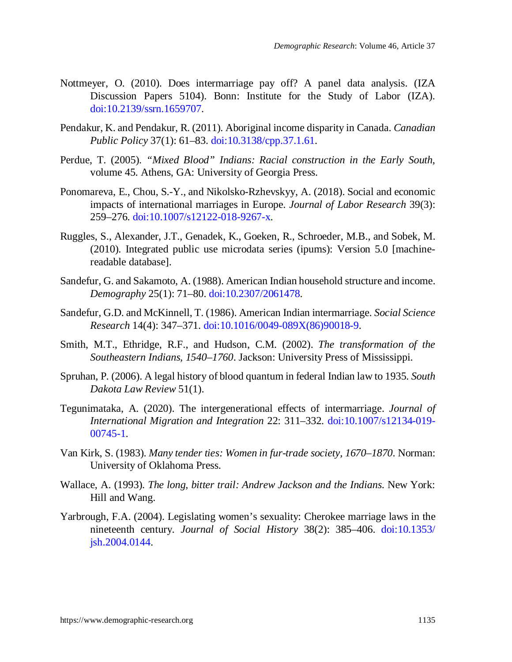- Nottmeyer, O. (2010). Does intermarriage pay off? A panel data analysis. (IZA Discussion Papers 5104). Bonn: Institute for the Study of Labor (IZA). [doi:10.2139/ssrn.1659707.](https://doi.org/10.2139/ssrn.1659707)
- Pendakur, K. and Pendakur, R. (2011). Aboriginal income disparity in Canada. *Canadian Public Policy* 37(1): 61–83. [doi:10.3138/cpp.37.1.61.](https://doi.org/10.3138/cpp.37.1.61)
- Perdue, T. (2005). *"Mixed Blood" Indians: Racial construction in the Early South*, volume 45. Athens, GA: University of Georgia Press.
- Ponomareva, E., Chou, S.-Y., and Nikolsko-Rzhevskyy, A. (2018). Social and economic impacts of international marriages in Europe. *Journal of Labor Research* 39(3): 259–276. [doi:10.1007/s12122-018-9267-x.](https://doi.org/10.1007/s12122-018-9267-x)
- Ruggles, S., Alexander, J.T., Genadek, K., Goeken, R., Schroeder, M.B., and Sobek, M. (2010). Integrated public use microdata series (ipums): Version 5.0 [machinereadable database].
- Sandefur, G. and Sakamoto, A. (1988). American Indian household structure and income. *Demography* 25(1): 71–80. [doi:10.2307/2061478.](https://doi.org/10.2307/2061478)
- Sandefur, G.D. and McKinnell, T. (1986). American Indian intermarriage. *Social Science Research* 14(4): 347–371. [doi:10.1016/0049-089X\(86\)90018-9.](https://doi.org/10.1016/0049-089X(86)90018-9)
- Smith, M.T., Ethridge, R.F., and Hudson, C.M. (2002). *The transformation of the Southeastern Indians, 1540–1760*. Jackson: University Press of Mississippi.
- Spruhan, P. (2006). A legal history of blood quantum in federal Indian law to 1935. *South Dakota Law Review* 51(1).
- Tegunimataka, A. (2020). The intergenerational effects of intermarriage. *Journal of International Migration and Integration* 22: 311–332. [doi:10.1007/s12134-019-](https://doi.org/10.1007/s12134-019-00745-1) [00745-1](https://doi.org/10.1007/s12134-019-00745-1).
- Van Kirk, S. (1983). *Many tender ties: Women in fur-trade society, 1670–1870*. Norman: University of Oklahoma Press.
- Wallace, A. (1993). *The long, bitter trail: Andrew Jackson and the Indians*. New York: Hill and Wang.
- Yarbrough, F.A. (2004). Legislating women's sexuality: Cherokee marriage laws in the nineteenth century. *Journal of Social History* 38(2): 385–406. [doi:10.1353/](https://doi.org/10.1353/jsh.2004.0144) [jsh.2004.0144.](https://doi.org/10.1353/jsh.2004.0144)